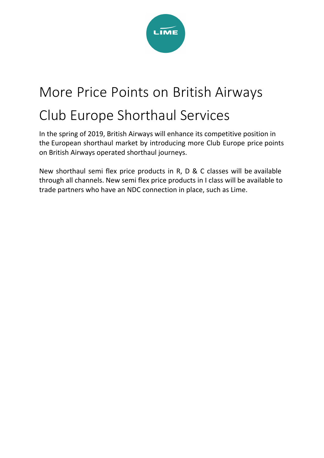

# More Price Points on British Airways

## Club Europe Shorthaul Services

In the spring of 2019, British Airways will enhance its competitive position in the European shorthaul market by introducing more Club Europe price points on British Airways operated shorthaul journeys.

New shorthaul semi flex price products in R, D & C classes will be available through all channels. New semi flex price products in I class will be available to trade partners who have an NDC connection in place, such as Lime.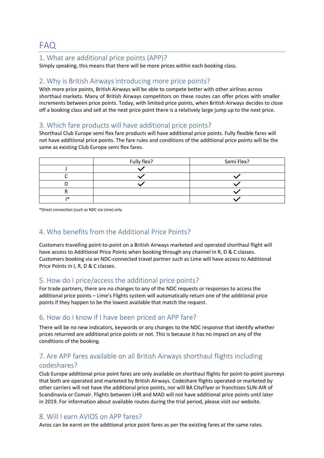#### FAQ

#### 1. What are additional price points (APP)?

Simply speaking, this means that there will be more prices within each booking class.

#### 2. Why is British Airways introducing more price points?

With more price points, British Airways will be able to compete better with other airlines across shorthaul markets. Many of British Airways competitors on these routes can offer prices with smaller increments between price points. Today, with limited price points, when British Airways decides to close off a booking class and sell at the next price point there is a relatively large jump up to the next price.

#### 3. Which fare products will have additional price points?

Shorthaul Club Europe semi flex fare products will have additional price points. Fully flexible fares will not have additional price points. The fare rules and conditions of the additional price points will be the same as existing Club Europe semi flex fares.

|    | Fully flex? | Semi Flex? |
|----|-------------|------------|
|    |             |            |
|    |             |            |
|    |             |            |
|    |             |            |
| 1米 |             |            |

\*Direct connection (such as NDC via Lime) only

#### 4. Who benefits from the Additional Price Points?

Customers travelling point-to-point on a British Airways marketed and operated shorthaul flight will have access to Additional Price Points when booking through any channel in R, D & C classes. Customers booking via an NDC‐connected travel partner such as Lime will have access to Additional Price Points in I, R, D & C classes.

#### 5. How do I price/access the additional price points?

For trade partners, there are no changes to any of the NDC requests or responses to access the additional price points – Lime's Flights system will automatically return one of the additional price points if they happen to be the lowest available that match the request.

#### 6. How do I know if I have been priced an APP fare?

There will be no new indicators, keywords or any changes to the NDC response that identify whether prices returned are additional price points or not. This is because it has no impact on any of the conditions of the booking.

### 7. Are APP fares available on all British Airways shorthaul flights including

#### codeshares?

Club Europe additional price point fares are only available on shorthaul flights for point-to-point journeys that both are operated and marketed by British Airways. Codeshare flights operated or marketed by other carriers will not have the additional price points, nor will BA CityFlyer or franchises SUN-AIR of Scandinavia or Comair. Flights between LHR and MAD will not have additional price points until later in 2019. For information about available routes during the trial period, please visit our website.

#### 8. Will I earn AVIOS on APP fares?

Avios can be earnt on the additional price point fares as per the existing fares at the same rates.